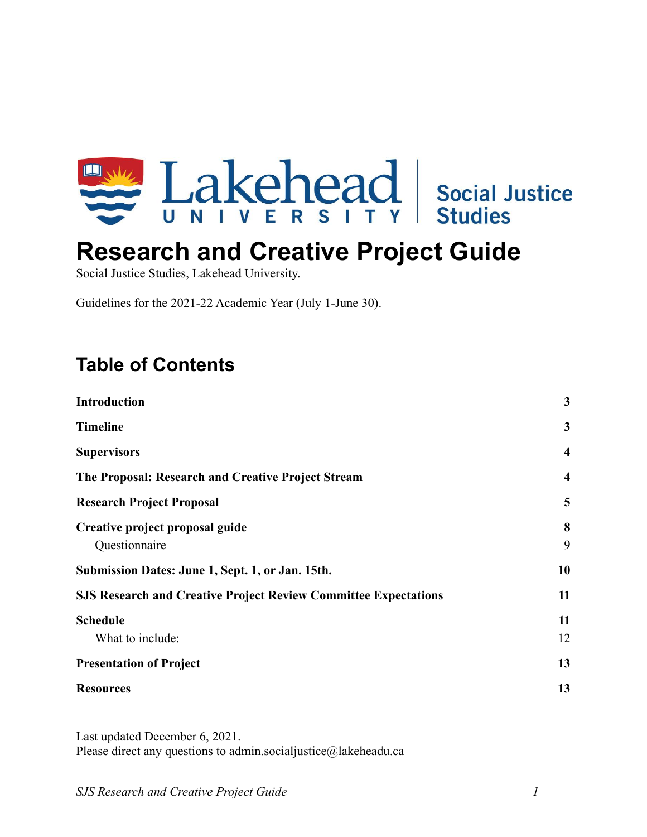

# **Research and Creative Project Guide**

Social Justice Studies, Lakehead University.

Guidelines for the 2021-22 Academic Year (July 1-June 30).

# **Table of Contents**

| <b>Introduction</b>                                                    | $\mathbf{3}$     |
|------------------------------------------------------------------------|------------------|
| <b>Timeline</b>                                                        | 3                |
| <b>Supervisors</b>                                                     | $\boldsymbol{4}$ |
| The Proposal: Research and Creative Project Stream                     | $\boldsymbol{4}$ |
| <b>Research Project Proposal</b>                                       | 5                |
| Creative project proposal guide<br>Questionnaire                       | 8<br>9           |
| Submission Dates: June 1, Sept. 1, or Jan. 15th.                       | 10               |
| <b>SJS Research and Creative Project Review Committee Expectations</b> | 11               |
| <b>Schedule</b><br>What to include:                                    | 11<br>12         |
| <b>Presentation of Project</b>                                         | 13               |
| <b>Resources</b>                                                       | 13               |

Last updated December 6, 2021. Please direct any questions to admin.social justice $@$  lakeheadu.ca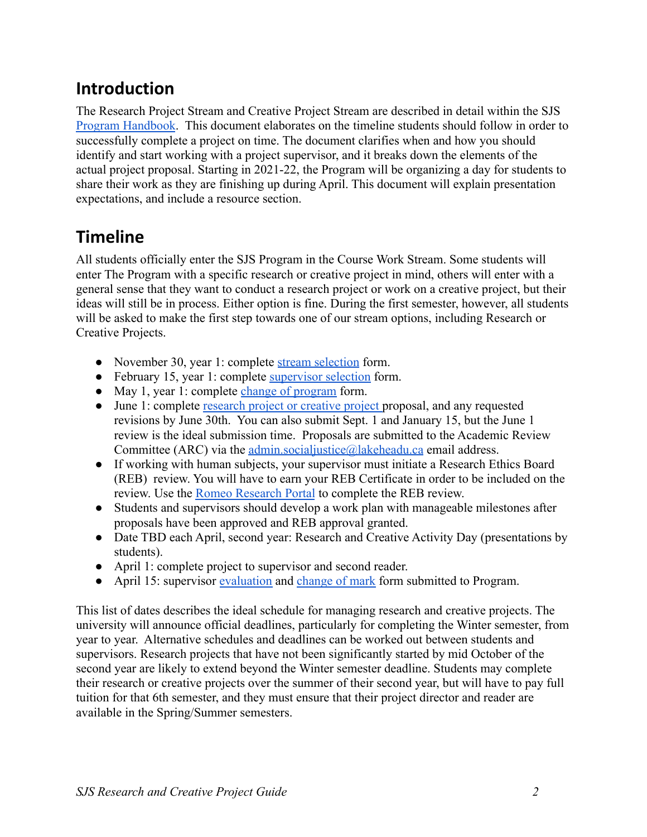# <span id="page-1-0"></span>**Introduction**

The Research Project Stream and Creative Project Stream are described in detail within the SJS [Program Handbook](https://docs.google.com/document/u/0/d/11e04Ahg5Z9vV93gvXYjrVvp2ibB_LAKuGVpcEsroB3I/edit). This document elaborates on the timeline students should follow in order to successfully complete a project on time. The document clarifies when and how you should identify and start working with a project supervisor, and it breaks down the elements of the actual project proposal. Starting in 2021-22, the Program will be organizing a day for students to share their work as they are finishing up during April. This document will explain presentation expectations, and include a resource section.

# <span id="page-1-1"></span>**Timeline**

All students officially enter the SJS Program in the Course Work Stream. Some students will enter The Program with a specific research or creative project in mind, others will enter with a general sense that they want to conduct a research project or work on a creative project, but their ideas will still be in process. Either option is fine. During the first semester, however, all students will be asked to make the first step towards one of our stream options, including Research or Creative Projects.

- November 30, year 1: complete [stream selection](https://docs.google.com/forms/d/1NtkVroS1QZzdF8A_xfBL3q_a-8pSRuRYfLylBh-qPIE/edit) form.
- February 15, year 1: complete [supervisor selection](https://drive.google.com/file/d/1XazrzKDrCbYcrXyRsNWLHdHPjDkdCuz4/view?usp=sharing) form.
- May 1, year 1: complete [change of program](https://www.lakeheadu.ca/faculty-and-staff/forms-db/Enrolment-Services/node/10325) form.
- June 1: complete <u>[research project or creative project](https://drive.google.com/file/d/17Wu7IFit3UrB7-B2WB_VO6ZE2Q_Qmx4U/view?usp=sharing)</u> proposal, and any requested revisions by June 30th. You can also submit Sept. 1 and January 15, but the June 1 review is the ideal submission time. Proposals are submitted to the Academic Review Committee (ARC) via the admin.social institute  $\omega$  and all address.
- If working with human subjects, your supervisor must initiate a Research Ethics Board (REB) review. You will have to earn your REB Certificate in order to be included on the review. Use the [Romeo Research Portal](https://lakeheadu.researchservicesoffice.com/ROMEO.Researcher.Admin/(S(cpz0jxo1d25j1pbl5knaiixp))/Login.aspx?ReturnUrl=%2fRomeo.Researcher.Admin) to complete the REB review.
- Students and supervisors should develop a work plan with manageable milestones after proposals have been approved and REB approval granted.
- Date TBD each April, second year: Research and Creative Activity Day (presentations by students).
- April 1: complete project to supervisor and second reader.
- April 15: supervisor [evaluation](https://drive.google.com/file/d/1wHgQXw3d855hQysXuItWiztR-y3Ub6By/view?usp=sharing) and [change of mark](https://www.lakeheadu.ca/faculty-and-staff/forms-db/Enrolment-Services/node/44175) form submitted to Program.

This list of dates describes the ideal schedule for managing research and creative projects. The university will announce official deadlines, particularly for completing the Winter semester, from year to year. Alternative schedules and deadlines can be worked out between students and supervisors. Research projects that have not been significantly started by mid October of the second year are likely to extend beyond the Winter semester deadline. Students may complete their research or creative projects over the summer of their second year, but will have to pay full tuition for that 6th semester, and they must ensure that their project director and reader are available in the Spring/Summer semesters.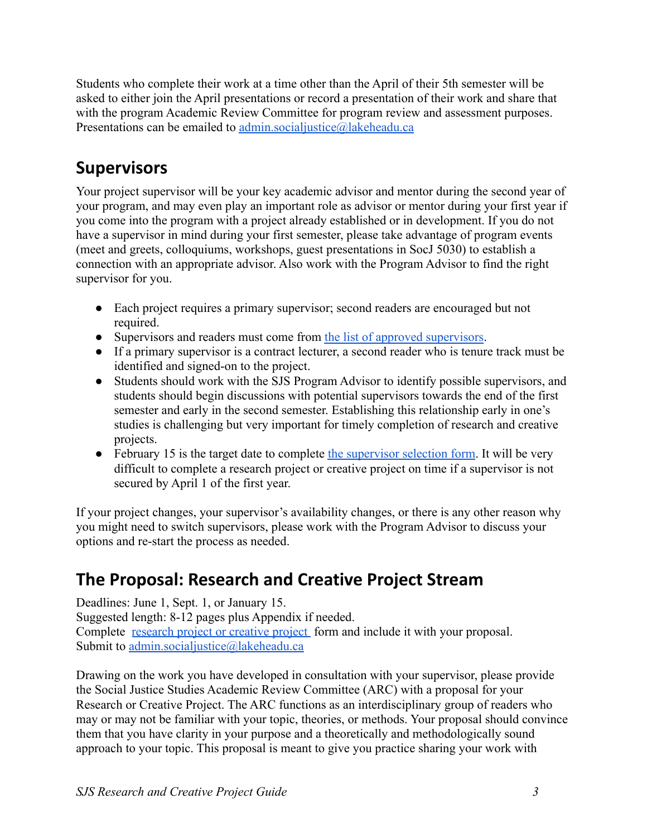Students who complete their work at a time other than the April of their 5th semester will be asked to either join the April presentations or record a presentation of their work and share that with the program Academic Review Committee for program review and assessment purposes. Presentations can be emailed to [admin.socialjustice@lakeheadu.ca](mailto:admin.socialjustice@lakeheadu.ca)

# <span id="page-2-0"></span>**Supervisors**

Your project supervisor will be your key academic advisor and mentor during the second year of your program, and may even play an important role as advisor or mentor during your first year if you come into the program with a project already established or in development. If you do not have a supervisor in mind during your first semester, please take advantage of program events (meet and greets, colloquiums, workshops, guest presentations in SocJ 5030) to establish a connection with an appropriate advisor. Also work with the Program Advisor to find the right supervisor for you.

- Each project requires a primary supervisor; second readers are encouraged but not required.
- Supervisors and readers must come from the list of [approved supervisors.](https://www.lakeheadu.ca/programs/departments/social-justice/social-justice-supervisors)
- If a primary supervisor is a contract lecturer, a second reader who is tenure track must be identified and signed-on to the project.
- Students should work with the SJS Program Advisor to identify possible supervisors, and students should begin discussions with potential supervisors towards the end of the first semester and early in the second semester. Establishing this relationship early in one's studies is challenging but very important for timely completion of research and creative projects.
- February 15 is the target date to complete the supervisor [selection form](https://drive.google.com/file/d/1XazrzKDrCbYcrXyRsNWLHdHPjDkdCuz4/view?usp=sharing). It will be very difficult to complete a research project or creative project on time if a supervisor is not secured by April 1 of the first year.

If your project changes, your supervisor's availability changes, or there is any other reason why you might need to switch supervisors, please work with the Program Advisor to discuss your options and re-start the process as needed.

# <span id="page-2-1"></span>**The Proposal: Research and Creative Project Stream**

Deadlines: June 1, Sept. 1, or January 15. Suggested length: 8-12 pages plus Appendix if needed. Complete <u>[research project or creative project](https://drive.google.com/file/d/17Wu7IFit3UrB7-B2WB_VO6ZE2Q_Qmx4U/view?usp=sharing)</u> form and include it with your proposal.

Submit to [admin.socialjustice@lakeheadu.ca](mailto:admin.socialjustice@lakeheadu.ca)

Drawing on the work you have developed in consultation with your supervisor, please provide the Social Justice Studies Academic Review Committee (ARC) with a proposal for your Research or Creative Project. The ARC functions as an interdisciplinary group of readers who may or may not be familiar with your topic, theories, or methods. Your proposal should convince them that you have clarity in your purpose and a theoretically and methodologically sound approach to your topic. This proposal is meant to give you practice sharing your work with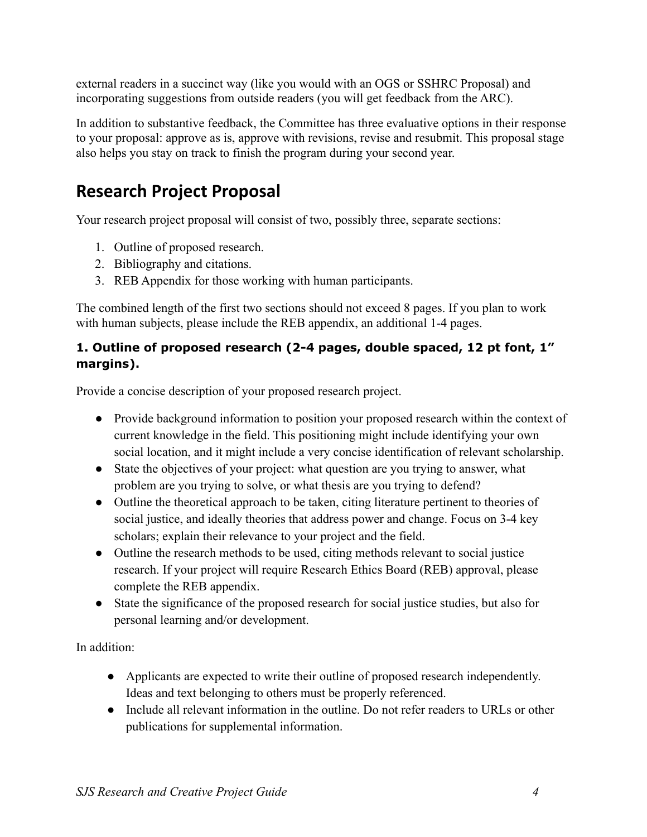external readers in a succinct way (like you would with an OGS or SSHRC Proposal) and incorporating suggestions from outside readers (you will get feedback from the ARC).

In addition to substantive feedback, the Committee has three evaluative options in their response to your proposal: approve as is, approve with revisions, revise and resubmit. This proposal stage also helps you stay on track to finish the program during your second year.

# <span id="page-3-0"></span>**Research Project Proposal**

Your research project proposal will consist of two, possibly three, separate sections:

- 1. Outline of proposed research.
- 2. Bibliography and citations.
- 3. REB Appendix for those working with human participants.

The combined length of the first two sections should not exceed 8 pages. If you plan to work with human subjects, please include the REB appendix, an additional 1-4 pages.

### **1. Outline of proposed research (2-4 pages, double spaced, 12 pt font, 1" margins).**

Provide a concise description of your proposed research project.

- Provide background information to position your proposed research within the context of current knowledge in the field. This positioning might include identifying your own social location, and it might include a very concise identification of relevant scholarship.
- State the objectives of your project: what question are you trying to answer, what problem are you trying to solve, or what thesis are you trying to defend?
- Outline the theoretical approach to be taken, citing literature pertinent to theories of social justice, and ideally theories that address power and change. Focus on 3-4 key scholars; explain their relevance to your project and the field.
- Outline the research methods to be used, citing methods relevant to social justice research. If your project will require Research Ethics Board (REB) approval, please complete the REB appendix.
- State the significance of the proposed research for social justice studies, but also for personal learning and/or development.

In addition:

- Applicants are expected to write their outline of proposed research independently. Ideas and text belonging to others must be properly referenced.
- Include all relevant information in the outline. Do not refer readers to URLs or other publications for supplemental information.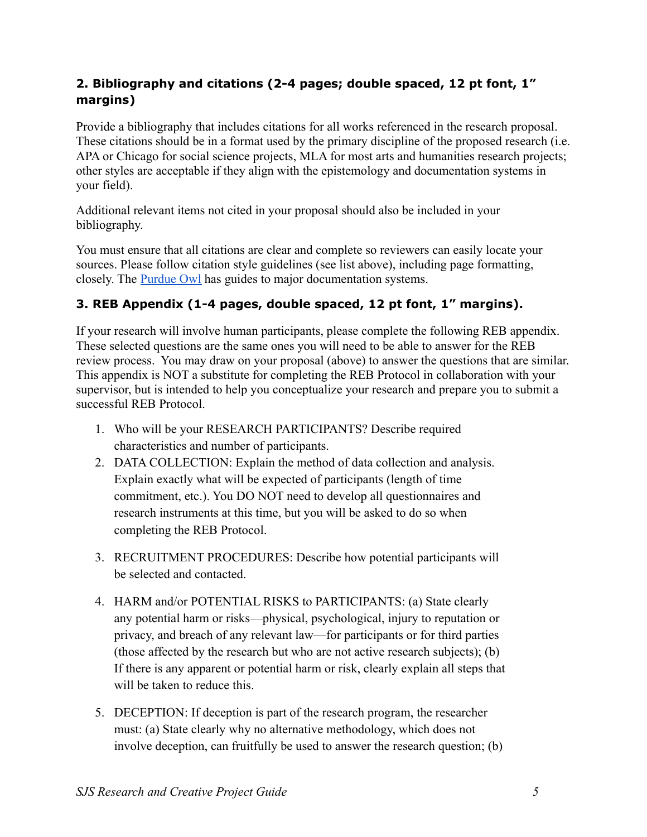### **2. Bibliography and citations (2-4 pages; double spaced, 12 pt font, 1" margins)**

Provide a bibliography that includes citations for all works referenced in the research proposal. These citations should be in a format used by the primary discipline of the proposed research (i.e. APA or Chicago for social science projects, MLA for most arts and humanities research projects; other styles are acceptable if they align with the epistemology and documentation systems in your field).

Additional relevant items not cited in your proposal should also be included in your bibliography.

You must ensure that all citations are clear and complete so reviewers can easily locate your sources. Please follow citation style guidelines (see list above), including page formatting, closely. The [Purdue Owl](https://owl.purdue.edu/owl/research_and_citation/using_research/resources_for_documenting_sources_in_the_disciplines/complete_discipline_listing.html) has guides to major documentation systems.

### **3. REB Appendix (1-4 pages, double spaced, 12 pt font, 1" margins).**

If your research will involve human participants, please complete the following REB appendix. These selected questions are the same ones you will need to be able to answer for the REB review process. You may draw on your proposal (above) to answer the questions that are similar. This appendix is NOT a substitute for completing the REB Protocol in collaboration with your supervisor, but is intended to help you conceptualize your research and prepare you to submit a successful REB Protocol.

- 1. Who will be your RESEARCH PARTICIPANTS? Describe required characteristics and number of participants.
- 2. DATA COLLECTION: Explain the method of data collection and analysis. Explain exactly what will be expected of participants (length of time commitment, etc.). You DO NOT need to develop all questionnaires and research instruments at this time, but you will be asked to do so when completing the REB Protocol.
- 3. RECRUITMENT PROCEDURES: Describe how potential participants will be selected and contacted.
- 4. HARM and/or POTENTIAL RISKS to PARTICIPANTS: (a) State clearly any potential harm or risks—physical, psychological, injury to reputation or privacy, and breach of any relevant law—for participants or for third parties (those affected by the research but who are not active research subjects); (b) If there is any apparent or potential harm or risk, clearly explain all steps that will be taken to reduce this.
- 5. DECEPTION: If deception is part of the research program, the researcher must: (a) State clearly why no alternative methodology, which does not involve deception, can fruitfully be used to answer the research question; (b)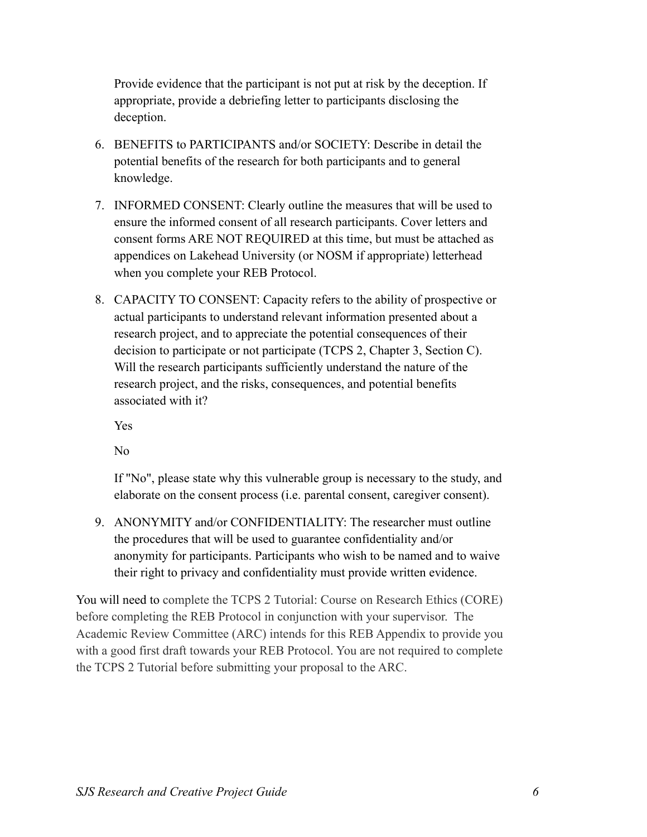Provide evidence that the participant is not put at risk by the deception. If appropriate, provide a debriefing letter to participants disclosing the deception.

- 6. BENEFITS to PARTICIPANTS and/or SOCIETY: Describe in detail the potential benefits of the research for both participants and to general knowledge.
- 7. INFORMED CONSENT: Clearly outline the measures that will be used to ensure the informed consent of all research participants. Cover letters and consent forms ARE NOT REQUIRED at this time, but must be attached as appendices on Lakehead University (or NOSM if appropriate) letterhead when you complete your REB Protocol.
- 8. CAPACITY TO CONSENT: Capacity refers to the ability of prospective or actual participants to understand relevant information presented about a research project, and to appreciate the potential consequences of their decision to participate or not participate (TCPS 2, Chapter 3, Section C). Will the research participants sufficiently understand the nature of the research project, and the risks, consequences, and potential benefits associated with it?

Yes

No

If "No", please state why this vulnerable group is necessary to the study, and elaborate on the consent process (i.e. parental consent, caregiver consent).

9. ANONYMITY and/or CONFIDENTIALITY: The researcher must outline the procedures that will be used to guarantee confidentiality and/or anonymity for participants. Participants who wish to be named and to waive their right to privacy and confidentiality must provide written evidence.

You will need to complete the TCPS 2 Tutorial: Course on Research Ethics (CORE) before completing the REB Protocol in conjunction with your supervisor. The Academic Review Committee (ARC) intends for this REB Appendix to provide you with a good first draft towards your REB Protocol. You are not required to complete the TCPS 2 Tutorial before submitting your proposal to the ARC.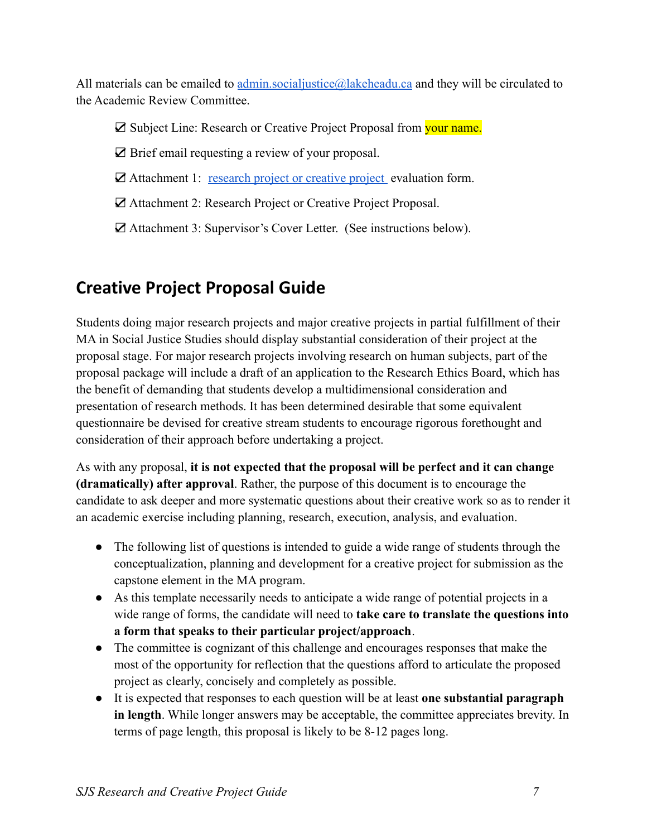All materials can be emailed to admin.social justice  $Q$  lake head u. ca and they will be circulated to the Academic Review Committee.

☑ Subject Line: Research or Creative Project Proposal from your name.

☑ Brief email requesting a review of your proposal.

☑ Attachment 1: [research project or creative project](https://drive.google.com/file/d/17Wu7IFit3UrB7-B2WB_VO6ZE2Q_Qmx4U/view?usp=sharing) evaluation form.

☑ Attachment 2: Research Project or Creative Project Proposal.

☑ Attachment 3: Supervisor's Cover Letter. (See instructions below).

# <span id="page-6-0"></span>**Creative Project Proposal Guide**

Students doing major research projects and major creative projects in partial fulfillment of their MA in Social Justice Studies should display substantial consideration of their project at the proposal stage. For major research projects involving research on human subjects, part of the proposal package will include a draft of an application to the Research Ethics Board, which has the benefit of demanding that students develop a multidimensional consideration and presentation of research methods. It has been determined desirable that some equivalent questionnaire be devised for creative stream students to encourage rigorous forethought and consideration of their approach before undertaking a project.

As with any proposal, **it is not expected that the proposal will be perfect and it can change (dramatically) after approval**. Rather, the purpose of this document is to encourage the candidate to ask deeper and more systematic questions about their creative work so as to render it an academic exercise including planning, research, execution, analysis, and evaluation.

- The following list of questions is intended to guide a wide range of students through the conceptualization, planning and development for a creative project for submission as the capstone element in the MA program.
- As this template necessarily needs to anticipate a wide range of potential projects in a wide range of forms, the candidate will need to **take care to translate the questions into a form that speaks to their particular project/approach**.
- The committee is cognizant of this challenge and encourages responses that make the most of the opportunity for reflection that the questions afford to articulate the proposed project as clearly, concisely and completely as possible.
- It is expected that responses to each question will be at least **one substantial paragraph in length**. While longer answers may be acceptable, the committee appreciates brevity. In terms of page length, this proposal is likely to be 8-12 pages long.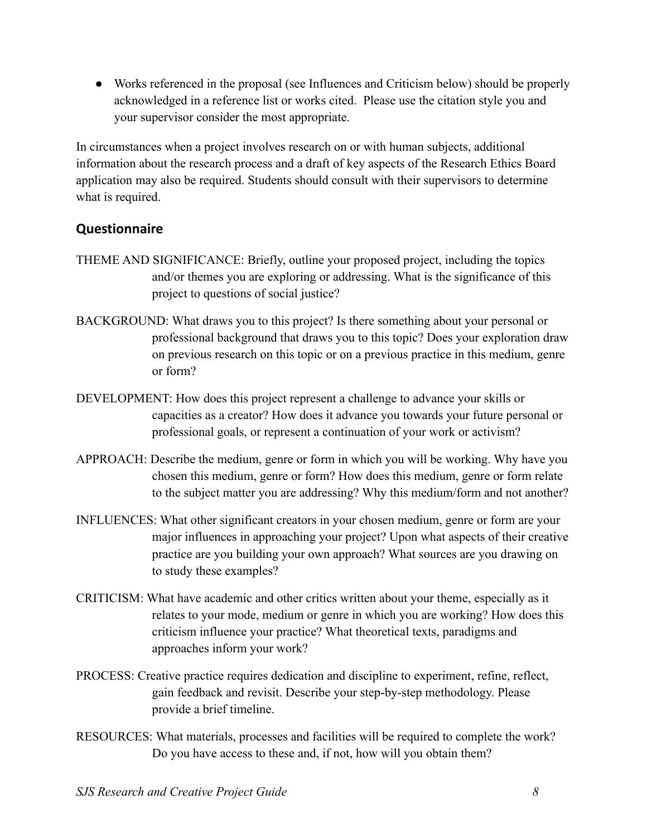● Works referenced in the proposal (see Influences and Criticism below) should be properly acknowledged in a reference list or works cited. Please use the citation style you and your supervisor consider the most appropriate.

In circumstances when a project involves research on or with human subjects, additional information about the research process and a draft of key aspects of the Research Ethics Board application may also be required. Students should consult with their supervisors to determine what is required.

### <span id="page-7-0"></span>**Questionnaire**

- THEME AND SIGNIFICANCE: Briefly, outline your proposed project, including the topics and/or themes you are exploring or addressing. What is the significance of this project to questions of social justice?
- BACKGROUND: What draws you to this project? Is there something about your personal or professional background that draws you to this topic? Does your exploration draw on previous research on this topic or on a previous practice in this medium, genre or form?
- DEVELOPMENT: How does this project represent a challenge to advance your skills or capacities as a creator? How does it advance you towards your future personal or professional goals, or represent a continuation of your work or activism?
- APPROACH: Describe the medium, genre or form in which you will be working. Why have you chosen this medium, genre or form? How does this medium, genre or form relate to the subject matter you are addressing? Why this medium/form and not another?
- INFLUENCES: What other significant creators in your chosen medium, genre or form are your major influences in approaching your project? Upon what aspects of their creative practice are you building your own approach? What sources are you drawing on to study these examples?
- CRITICISM: What have academic and other critics written about your theme, especially as it relates to your mode, medium or genre in which you are working? How does this criticism influence your practice? What theoretical texts, paradigms and approaches inform your work?
- PROCESS: Creative practice requires dedication and discipline to experiment, refine, reflect, gain feedback and revisit. Describe your step-by-step methodology. Please provide a brief timeline.
- RESOURCES: What materials, processes and facilities will be required to complete the work? Do you have access to these and, if not, how will you obtain them?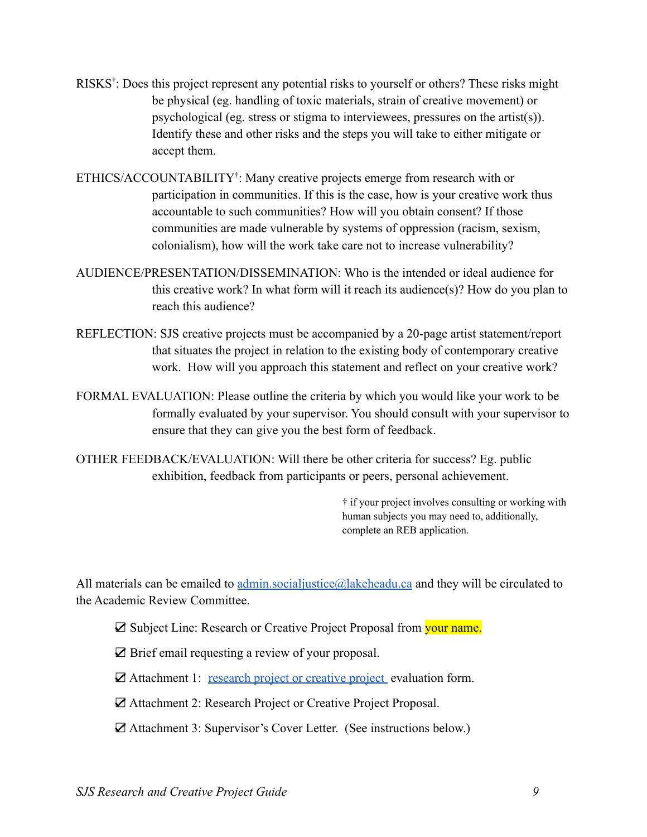- RISKS† : Does this project represent any potential risks to yourself or others? These risks might be physical (eg. handling of toxic materials, strain of creative movement) or psychological (eg. stress or stigma to interviewees, pressures on the artist(s)). Identify these and other risks and the steps you will take to either mitigate or accept them.
- ETHICS/ACCOUNTABILITY<sup>†</sup>: Many creative projects emerge from research with or participation in communities. If this is the case, how is your creative work thus accountable to such communities? How will you obtain consent? If those communities are made vulnerable by systems of oppression (racism, sexism, colonialism), how will the work take care not to increase vulnerability?
- AUDIENCE/PRESENTATION/DISSEMINATION: Who is the intended or ideal audience for this creative work? In what form will it reach its audience(s)? How do you plan to reach this audience?
- REFLECTION: SJS creative projects must be accompanied by a 20-page artist statement/report that situates the project in relation to the existing body of contemporary creative work. How will you approach this statement and reflect on your creative work?
- FORMAL EVALUATION: Please outline the criteria by which you would like your work to be formally evaluated by your supervisor. You should consult with your supervisor to ensure that they can give you the best form of feedback.
- OTHER FEEDBACK/EVALUATION: Will there be other criteria for success? Eg. public exhibition, feedback from participants or peers, personal achievement.

† if your project involves consulting or working with human subjects you may need to, additionally, complete an REB application.

All materials can be emailed to admin.social ustice@lakeheadu.ca and they will be circulated to the Academic Review Committee.

- ☑ Subject Line: Research or Creative Project Proposal from your name.
- ☑ Brief email requesting a review of your proposal.
- ☑ Attachment 1: [research project or creative project](https://drive.google.com/file/d/17Wu7IFit3UrB7-B2WB_VO6ZE2Q_Qmx4U/view?usp=sharing) evaluation form.
- ☑ Attachment 2: Research Project or Creative Project Proposal.
- ☑ Attachment 3: Supervisor's Cover Letter. (See instructions below.)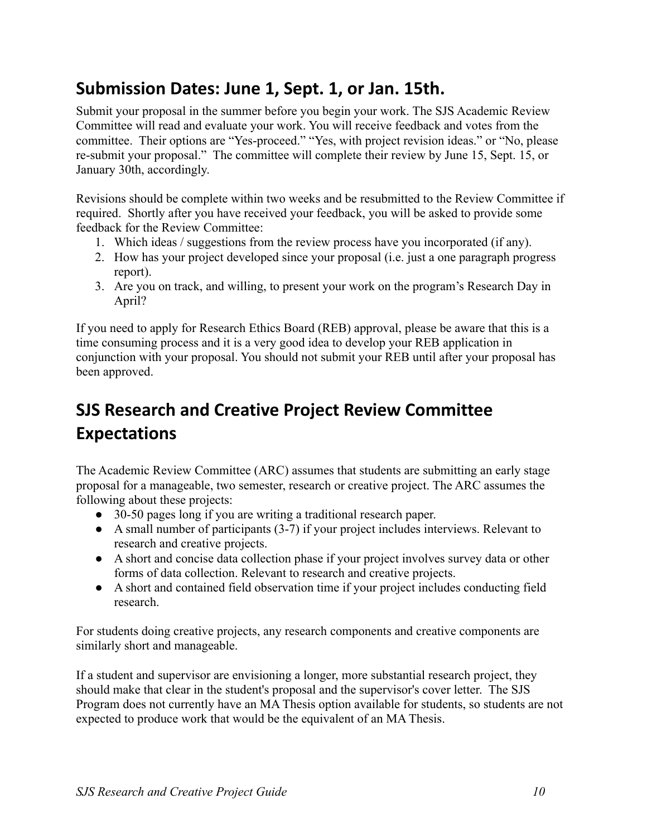# <span id="page-9-0"></span>**Submission Dates: June 1, Sept. 1, or Jan. 15th.**

Submit your proposal in the summer before you begin your work. The SJS Academic Review Committee will read and evaluate your work. You will receive feedback and votes from the committee. Their options are "Yes-proceed." "Yes, with project revision ideas." or "No, please re-submit your proposal." The committee will complete their review by June 15, Sept. 15, or January 30th, accordingly.

Revisions should be complete within two weeks and be resubmitted to the Review Committee if required. Shortly after you have received your feedback, you will be asked to provide some feedback for the Review Committee:

- 1. Which ideas / suggestions from the review process have you incorporated (if any).
- 2. How has your project developed since your proposal (i.e. just a one paragraph progress report).
- 3. Are you on track, and willing, to present your work on the program's Research Day in April?

If you need to apply for Research Ethics Board (REB) approval, please be aware that this is a time consuming process and it is a very good idea to develop your REB application in conjunction with your proposal. You should not submit your REB until after your proposal has been approved.

# <span id="page-9-1"></span>**SJS Research and Creative Project Review Committee Expectations**

The Academic Review Committee (ARC) assumes that students are submitting an early stage proposal for a manageable, two semester, research or creative project. The ARC assumes the following about these projects:

- 30-50 pages long if you are writing a traditional research paper.
- A small number of participants (3-7) if your project includes interviews. Relevant to research and creative projects.
- A short and concise data collection phase if your project involves survey data or other forms of data collection. Relevant to research and creative projects.
- A short and contained field observation time if your project includes conducting field research.

For students doing creative projects, any research components and creative components are similarly short and manageable.

If a student and supervisor are envisioning a longer, more substantial research project, they should make that clear in the student's proposal and the supervisor's cover letter. The SJS Program does not currently have an MA Thesis option available for students, so students are not expected to produce work that would be the equivalent of an MA Thesis.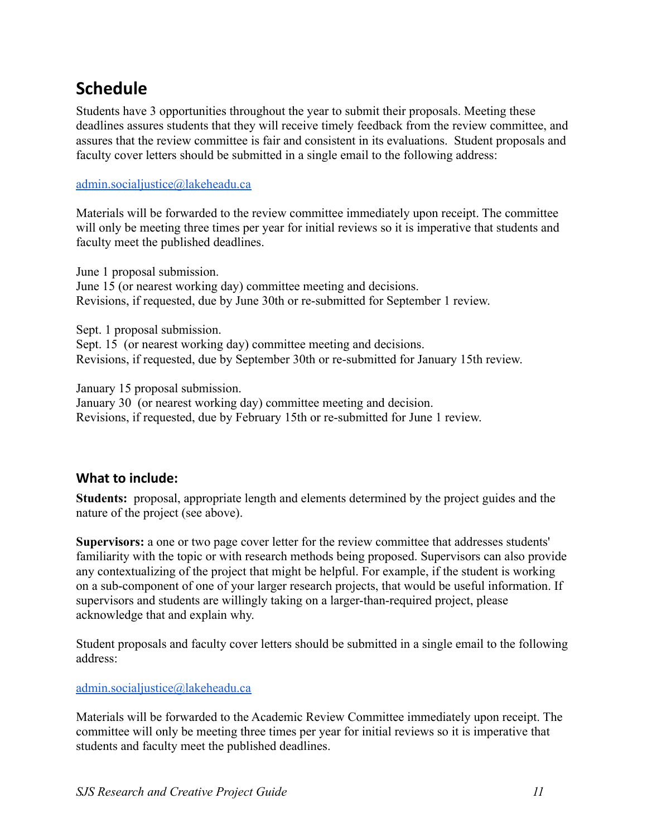# <span id="page-10-0"></span>**Schedule**

Students have 3 opportunities throughout the year to submit their proposals. Meeting these deadlines assures students that they will receive timely feedback from the review committee, and assures that the review committee is fair and consistent in its evaluations. Student proposals and faculty cover letters should be submitted in a single email to the following address:

#### [admin.socialjustice@lakeheadu.ca](mailto:admin.socialjustice@lakeheadu.ca)

Materials will be forwarded to the review committee immediately upon receipt. The committee will only be meeting three times per year for initial reviews so it is imperative that students and faculty meet the published deadlines.

June 1 proposal submission. June 15 (or nearest working day) committee meeting and decisions. Revisions, if requested, due by June 30th or re-submitted for September 1 review.

Sept. 1 proposal submission. Sept. 15 (or nearest working day) committee meeting and decisions. Revisions, if requested, due by September 30th or re-submitted for January 15th review.

January 15 proposal submission.

January 30 (or nearest working day) committee meeting and decision. Revisions, if requested, due by February 15th or re-submitted for June 1 review.

### <span id="page-10-1"></span>**What to include:**

**Students:** proposal, appropriate length and elements determined by the project guides and the nature of the project (see above).

**Supervisors:** a one or two page cover letter for the review committee that addresses students' familiarity with the topic or with research methods being proposed. Supervisors can also provide any contextualizing of the project that might be helpful. For example, if the student is working on a sub-component of one of your larger research projects, that would be useful information. If supervisors and students are willingly taking on a larger-than-required project, please acknowledge that and explain why.

Student proposals and faculty cover letters should be submitted in a single email to the following address:

#### [admin.socialjustice@lakeheadu.ca](mailto:admin.socialjustice@lakeheadu.ca)

Materials will be forwarded to the Academic Review Committee immediately upon receipt. The committee will only be meeting three times per year for initial reviews so it is imperative that students and faculty meet the published deadlines.